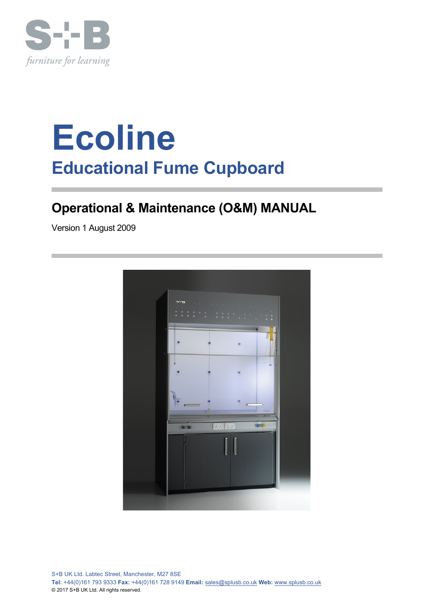

# **Ecoline Educational Fume Cupboard**

## **Operational & Maintenance (O&M) MANUAL**

Version 1 August 2009

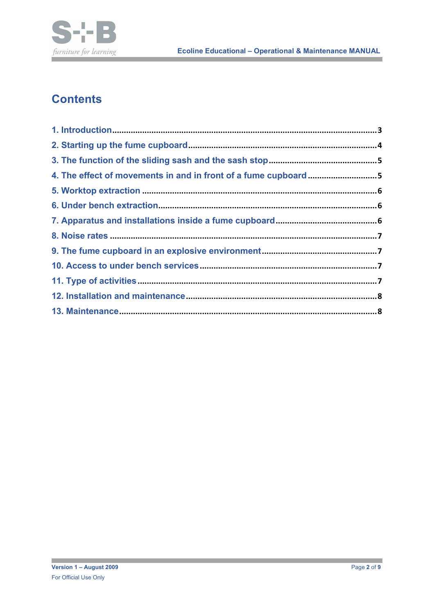

## **Contents**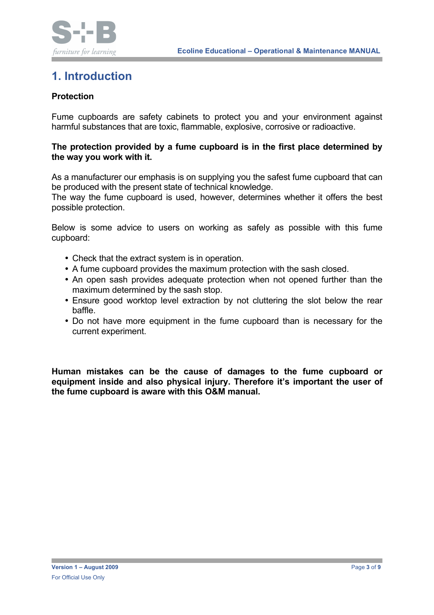

## **1. Introduction**

#### **Protection**

Fume cupboards are safety cabinets to protect you and your environment against harmful substances that are toxic, flammable, explosive, corrosive or radioactive.

#### **The protection provided by a fume cupboard is in the first place determined by the way you work with it.**

As a manufacturer our emphasis is on supplying you the safest fume cupboard that can be produced with the present state of technical knowledge.

The way the fume cupboard is used, however, determines whether it offers the best possible protection.

Below is some advice to users on working as safely as possible with this fume cupboard:

- Check that the extract system is in operation.
- A fume cupboard provides the maximum protection with the sash closed.
- An open sash provides adequate protection when not opened further than the maximum determined by the sash stop.
- Ensure good worktop level extraction by not cluttering the slot below the rear baffle.
- Do not have more equipment in the fume cupboard than is necessary for the current experiment.

**Human mistakes can be the cause of damages to the fume cupboard or equipment inside and also physical injury. Therefore it's important the user of the fume cupboard is aware with this O&M manual.**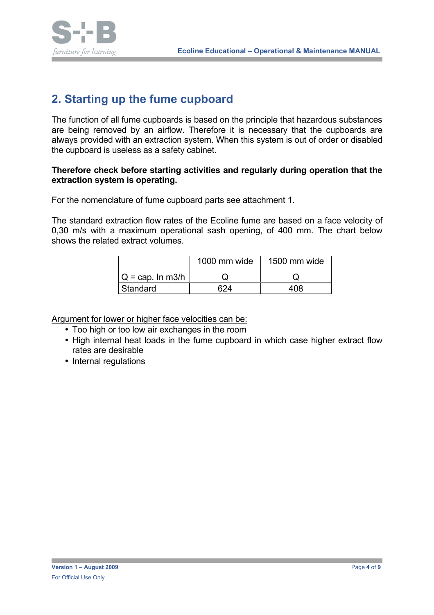

#### **2. Starting up the fume cupboard**

The function of all fume cupboards is based on the principle that hazardous substances are being removed by an airflow. Therefore it is necessary that the cupboards are always provided with an extraction system. When this system is out of order or disabled the cupboard is useless as a safety cabinet.

#### **Therefore check before starting activities and regularly during operation that the extraction system is operating.**

For the nomenclature of fume cupboard parts see attachment 1.

The standard extraction flow rates of the Ecoline fume are based on a face velocity of 0,30 m/s with a maximum operational sash opening, of 400 mm. The chart below shows the related extract volumes.

|                     | 1000 mm wide | 1500 mm wide |
|---------------------|--------------|--------------|
| $Q = cap$ . In m3/h |              |              |
| <b>Standard</b>     | ิ ລ⊿         | 10.R         |

Argument for lower or higher face velocities can be:

- Too high or too low air exchanges in the room
- High internal heat loads in the fume cupboard in which case higher extract flow rates are desirable
- Internal regulations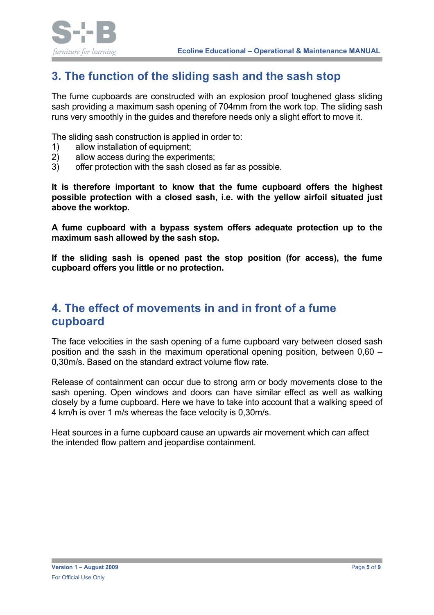

## **3. The function of the sliding sash and the sash stop**

The fume cupboards are constructed with an explosion proof toughened glass sliding sash providing a maximum sash opening of 704mm from the work top. The sliding sash runs very smoothly in the guides and therefore needs only a slight effort to move it.

The sliding sash construction is applied in order to:

- 1) allow installation of equipment;
- 2) allow access during the experiments;
- 3) offer protection with the sash closed as far as possible.

**It is therefore important to know that the fume cupboard offers the highest possible protection with a closed sash, i.e. with the yellow airfoil situated just above the worktop.**

**A fume cupboard with a bypass system offers adequate protection up to the maximum sash allowed by the sash stop.**

**If the sliding sash is opened past the stop position (for access), the fume cupboard offers you little or no protection.** 

#### **4. The effect of movements in and in front of a fume cupboard**

The face velocities in the sash opening of a fume cupboard vary between closed sash position and the sash in the maximum operational opening position, between 0,60 – 0,30m/s. Based on the standard extract volume flow rate.

Release of containment can occur due to strong arm or body movements close to the sash opening. Open windows and doors can have similar effect as well as walking closely by a fume cupboard. Here we have to take into account that a walking speed of 4 km/h is over 1 m/s whereas the face velocity is 0,30m/s.

Heat sources in a fume cupboard cause an upwards air movement which can affect the intended flow pattern and jeopardise containment.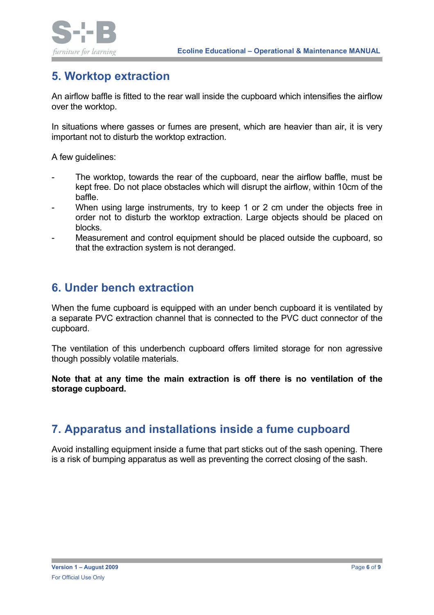



## **5. Worktop extraction**

An airflow baffle is fitted to the rear wall inside the cupboard which intensifies the airflow over the worktop.

In situations where gasses or fumes are present, which are heavier than air, it is very important not to disturb the worktop extraction.

A few guidelines:

- The worktop, towards the rear of the cupboard, near the airflow baffle, must be kept free. Do not place obstacles which will disrupt the airflow, within 10cm of the baffle.
- When using large instruments, try to keep 1 or 2 cm under the objects free in order not to disturb the worktop extraction. Large objects should be placed on blocks.
- Measurement and control equipment should be placed outside the cupboard, so that the extraction system is not deranged.

#### **6. Under bench extraction**

When the fume cupboard is equipped with an under bench cupboard it is ventilated by a separate PVC extraction channel that is connected to the PVC duct connector of the cupboard.

The ventilation of this underbench cupboard offers limited storage for non agressive though possibly volatile materials.

**Note that at any time the main extraction is off there is no ventilation of the storage cupboard.**

## **7. Apparatus and installations inside a fume cupboard**

Avoid installing equipment inside a fume that part sticks out of the sash opening. There is a risk of bumping apparatus as well as preventing the correct closing of the sash.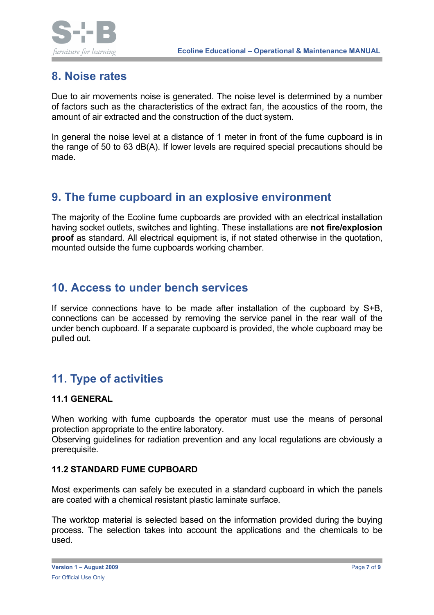

#### **8. Noise rates**

Due to air movements noise is generated. The noise level is determined by a number of factors such as the characteristics of the extract fan, the acoustics of the room, the amount of air extracted and the construction of the duct system.

In general the noise level at a distance of 1 meter in front of the fume cupboard is in the range of 50 to 63 dB(A). If lower levels are required special precautions should be made.

#### **9. The fume cupboard in an explosive environment**

The majority of the Ecoline fume cupboards are provided with an electrical installation having socket outlets, switches and lighting. These installations are **not fire/explosion proof** as standard. All electrical equipment is, if not stated otherwise in the quotation, mounted outside the fume cupboards working chamber.

#### **10. Access to under bench services**

If service connections have to be made after installation of the cupboard by S+B, connections can be accessed by removing the service panel in the rear wall of the under bench cupboard. If a separate cupboard is provided, the whole cupboard may be pulled out.

## **11. Type of activities**

#### **11.1 GENERAL**

When working with fume cupboards the operator must use the means of personal protection appropriate to the entire laboratory.

Observing guidelines for radiation prevention and any local regulations are obviously a prerequisite.

#### **11.2 STANDARD FUME CUPBOARD**

Most experiments can safely be executed in a standard cupboard in which the panels are coated with a chemical resistant plastic laminate surface.

The worktop material is selected based on the information provided during the buying process. The selection takes into account the applications and the chemicals to be used.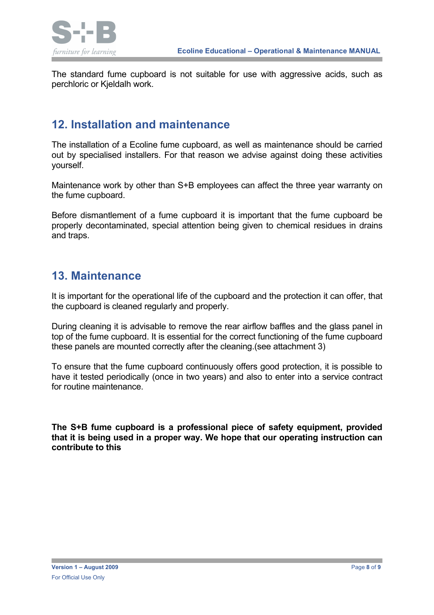

The standard fume cupboard is not suitable for use with aggressive acids, such as perchloric or Kjeldalh work.

#### **12. Installation and maintenance**

The installation of a Ecoline fume cupboard, as well as maintenance should be carried out by specialised installers. For that reason we advise against doing these activities yourself.

Maintenance work by other than S+B employees can affect the three year warranty on the fume cupboard.

Before dismantlement of a fume cupboard it is important that the fume cupboard be properly decontaminated, special attention being given to chemical residues in drains and traps.

#### **13. Maintenance**

It is important for the operational life of the cupboard and the protection it can offer, that the cupboard is cleaned regularly and properly.

During cleaning it is advisable to remove the rear airflow baffles and the glass panel in top of the fume cupboard. It is essential for the correct functioning of the fume cupboard these panels are mounted correctly after the cleaning.(see attachment 3)

To ensure that the fume cupboard continuously offers good protection, it is possible to have it tested periodically (once in two years) and also to enter into a service contract for routine maintenance.

**The S+B fume cupboard is a professional piece of safety equipment, provided that it is being used in a proper way. We hope that our operating instruction can contribute to this**